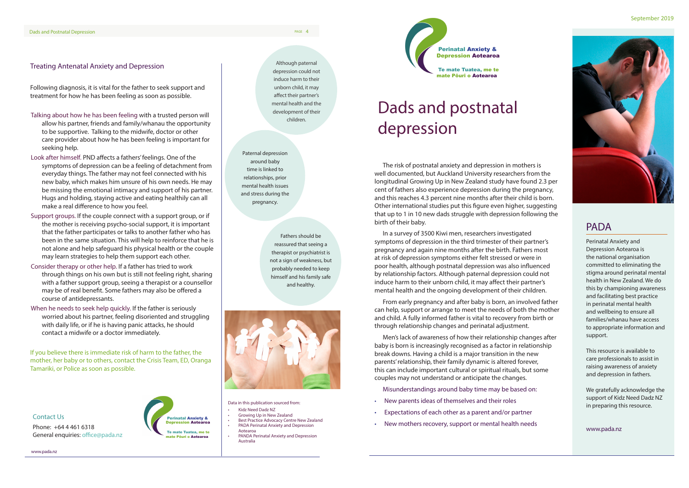## PADA

Perinatal Anxiety and Depression Aotearoa is the national organisation committed to eliminating the stigma around perinatal mental health in New Zealand. We do this by championing awareness and facilitating best practice in perinatal mental health and wellbeing to ensure all families/whanau have access to appropriate information and support.

This resource is available to care professionals to assist in raising awareness of anxiety and depression in fathers.

We gratefully acknowledge the support of Kidz Need Dadz NZ in preparing this resource.

www.pada.nz

The risk of postnatal anxiety and depression in mothers is well documented, but Auckland University researchers from the longitudinal Growing Up in New Zealand study have found 2.3 per cent of fathers also experience depression during the pregnancy, and this reaches 4.3 percent nine months after their child is born. Other international studies put this figure even higher, suggesting that up to 1 in 10 new dads struggle with depression following the birth of their baby.

In a survey of 3500 Kiwi men, researchers investigated symptoms of depression in the third trimester of their partner's pregnancy and again nine months after the birth. Fathers most at risk of depression symptoms either felt stressed or were in poor health, although postnatal depression was also influenced by relationship factors. Although paternal depression could not induce harm to their unborn child, it may affect their partner's mental health and the ongoing development of their children.

From early pregnancy and after baby is born, an involved father can help, support or arrange to meet the needs of both the mother and child. A fully informed father is vital to recovery from birth or through relationship changes and perinatal adjustment.

Men's lack of awareness of how their relationship changes after baby is born is increasingly recognised as a factor in relationship break downs. Having a child is a major transition in the new parents' relationship, their family dynamic is altered forever, this can include important cultural or spiritual rituals, but some couples may not understand or anticipate the changes.

Misunderstandings around baby time may be based on:

- New parents ideas of themselves and their roles
- Expectations of each other as a parent and/or partner
- New mothers recovery, support or mental health needs

#### Treating Antenatal Anxiety and Depression

Following diagnosis, it is vital for the father to seek support and treatment for how he has been feeling as soon as possible.

- Talking about how he has been feeling with a trusted person will allow his partner, friends and family/whanau the opportunity to be supportive. Talking to the midwife, doctor or other care provider about how he has been feeling is important for seeking help.
- Look after himself. PND affects a fathers' feelings. One of the symptoms of depression can be a feeling of detachment from everyday things. The father may not feel connected with his new baby, which makes him unsure of his own needs. He may be missing the emotional intimacy and support of his partner. Hugs and holding, staying active and eating healthily can all make a real difference to how you feel.
- Support groups. If the couple connect with a support group, or if the mother is receiving psycho-social support, it is important that the father participates or talks to another father who has been in the same situation. This will help to reinforce that he is not alone and help safeguard his physical health or the couple may learn strategies to help them support each other.
- Consider therapy or other help. If a father has tried to work through things on his own but is still not feeling right, sharing with a father support group, seeing a therapist or a counsellor may be of real benefit. Some fathers may also be offered a course of antidepressants.
- When he needs to seek help quickly. If the father is seriously worried about his partner, feeling disoriented and struggling with daily life, or if he is having panic attacks, he should contact a midwife or a doctor immediately.

If you believe there is immediate risk of harm to the father, the mother, her baby or to others, contact the Crisis Team, ED, Oranga Tamariki, or Police as soon as possible.



Phone: +64 4 461 6318 General enquiries: office@pada.nz



www.pada.nz

# Dads and postnatal depression

Fathers should be reassured that seeing a therapist or psychiatrist is not a sign of weakness, but probably needed to keep himself and his family safe and healthy.



Paternal depression around baby time is linked to relationships, prior mental health issues and stress during the pregnancy.

Although paternal depression could not induce harm to their unborn child, it may affect their partner's mental health and the development of their children.

Data in this publication sourced from:

- Kidz Need Dadz NZ
- Growing Up in New Zealand
- Best Practice Advocacy Centre New Zealand • PADA Perinatal Anxiety and Depression Aotearoa
- PANDA Perinatal Anxiety and Depression Australia

mate Pōuri o Aotearoa